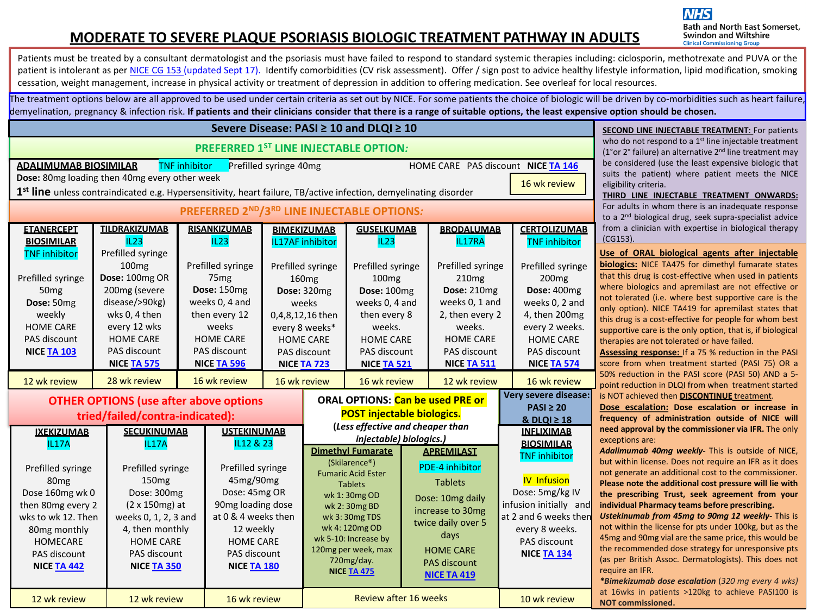## **MODERATE TO SEVERE PLAQUE PSORIASIS BIOLOGIC TREATMENT PATHWAY IN ADULTS**

Patients must be treated by a consultant dermatologist and the psoriasis must have failed to respond to standard systemic therapies including: ciclosporin, methotrexate and PUVA or the patient is intolerant as per [NICE](https://www.nice.org.uk/guidance/cg153/chapter/1-Guidance#phototherapy-broad--or-narrow-band-uvb-light-and-puva) CG 153 (updated Sept 17). Identify comorbidities (CV risk assessment). Offer / sign post to advice healthy lifestyle information, lipid modification, smoking cessation, weight management, increase in physical activity or treatment of depression in addition to offering medication. See overleaf for local resources.

**NHS** 

**Bath and North East Somerset, Swindon and Wiltshire Clinical Commissioning Group** 

The treatment options below are all approved to be used under certain criteria as set out by NICE. For some patients the choice of biologic will be driven by co-morbidities such as heart failure, demyelination, pregnancy & infection risk. If patients and their clinicians consider that there is a range of suitable options, the least expensive option should be chosen.

| Severe Disease: PASI ≥ 10 and DLQI ≥ 10                                                                                          |                                                         |                   |                                             |                              |                                             |                                    |                                      |  |                                        | SECOND LINE INJECTABLE TREATMENT: For patients                                                                                                                                                   |  |
|----------------------------------------------------------------------------------------------------------------------------------|---------------------------------------------------------|-------------------|---------------------------------------------|------------------------------|---------------------------------------------|------------------------------------|--------------------------------------|--|----------------------------------------|--------------------------------------------------------------------------------------------------------------------------------------------------------------------------------------------------|--|
| PREFERRED 1ST LINE INJECTABLE OPTION:                                                                                            |                                                         |                   |                                             |                              |                                             |                                    |                                      |  |                                        | who do not respond to a 1 <sup>st</sup> line injectable treatment<br>(1°or 2° failure) an alternative 2 <sup>nd</sup> line treatment may<br>be considered (use the least expensive biologic that |  |
| <b>ADALIMUMAB BIOSIMILAR</b><br><b>TNF</b> inhibitor<br>HOME CARE PAS discount NICE TA 146<br>Prefilled syringe 40mg             |                                                         |                   |                                             |                              |                                             |                                    |                                      |  |                                        |                                                                                                                                                                                                  |  |
| Dose: 80mg loading then 40mg every other week<br>16 wk review                                                                    |                                                         |                   |                                             |                              |                                             |                                    |                                      |  |                                        | suits the patient) where patient meets the NICE<br>eligibility criteria.                                                                                                                         |  |
| 1 <sup>st</sup> line unless contraindicated e.g. Hypersensitivity, heart failure, TB/active infection, demyelinating disorder    |                                                         |                   |                                             |                              |                                             |                                    |                                      |  |                                        | THIRD LINE INJECTABLE TREATMENT ONWARDS:                                                                                                                                                         |  |
| PREFERRED 2ND/3RD LINE INJECTABLE OPTIONS:                                                                                       |                                                         |                   |                                             |                              |                                             |                                    |                                      |  |                                        | For adults in whom there is an inadequate response<br>to a 2 <sup>nd</sup> biological drug, seek supra-specialist advice                                                                         |  |
| <b>ETANERCEPT</b><br><b>TILDRAKIZUMAB</b><br><b>RISANKIZUMAB</b><br><b>GUSELKUMAB</b><br><b>BRODALUMAB</b><br><b>BIMEKIZUMAB</b> |                                                         |                   |                                             |                              |                                             |                                    |                                      |  | <b>CERTOLIZUMAB</b>                    | from a clinician with expertise in biological therapy                                                                                                                                            |  |
| <b>BIOSIMILAR</b>                                                                                                                | IL23                                                    | IL23              |                                             | <b>IL17AF</b> inhibitor      | IL23                                        |                                    | IL17RA                               |  | <b>TNF</b> inhibitor                   | $(CG153)$ .                                                                                                                                                                                      |  |
| <b>TNF</b> inhibitor                                                                                                             | Prefilled syringe                                       |                   |                                             |                              |                                             |                                    |                                      |  |                                        | Use of ORAL biological agents after injectable                                                                                                                                                   |  |
|                                                                                                                                  | 100 <sub>mg</sub>                                       | Prefilled syringe |                                             | Prefilled syringe            | Prefilled syringe                           |                                    | Prefilled syringe                    |  | Prefilled syringe                      | biologics: NICE TA475 for dimethyl fumarate states                                                                                                                                               |  |
| Prefilled syringe                                                                                                                | Dose: 100mg OR                                          | 75 <sub>mg</sub>  |                                             | 160 <sub>mg</sub>            | 100 <sub>mg</sub>                           |                                    | 210 <sub>mg</sub>                    |  | 200 <sub>mg</sub>                      | that this drug is cost-effective when used in patients                                                                                                                                           |  |
| 50 <sub>mg</sub>                                                                                                                 | 200mg (severe                                           | Dose: 150mg       | Dose: 320mg                                 |                              | Dose: 100mg                                 |                                    | Dose: 210mg                          |  | Dose: 400mg                            | where biologics and apremilast are not effective or<br>not tolerated (i.e. where best supportive care is the                                                                                     |  |
| Dose: 50mg                                                                                                                       | disease/>90kg)                                          | weeks 0, 4 and    |                                             | weeks                        | weeks 0, 4 and                              |                                    | weeks 0, 1 and                       |  | weeks 0, 2 and                         | only option). NICE TA419 for apremilast states that<br>this drug is a cost-effective for people for whom best                                                                                    |  |
| weekly                                                                                                                           | wks 0, 4 then                                           | then every 12     |                                             | 0,4,8,12,16 then             | then every 8                                |                                    | 2, then every 2                      |  | 4, then 200mg                          |                                                                                                                                                                                                  |  |
| <b>HOME CARE</b>                                                                                                                 | every 12 wks                                            | weeks             |                                             | every 8 weeks*               | weeks.                                      |                                    | weeks.                               |  | every 2 weeks.                         | supportive care is the only option, that is, if biological                                                                                                                                       |  |
| PAS discount                                                                                                                     | <b>HOME CARE</b>                                        |                   | <b>HOME CARE</b><br><b>HOME CARE</b>        |                              | <b>HOME CARE</b>                            |                                    | <b>HOME CARE</b>                     |  | <b>HOME CARE</b>                       | therapies are not tolerated or have failed.                                                                                                                                                      |  |
| NICE TA 103                                                                                                                      | PAS discount                                            |                   | PAS discount<br>PAS discount<br>NICE TA 596 |                              | PAS discount                                | PAS discount<br>NICE TA 511        |                                      |  | PAS discount                           | Assessing response: If a 75 % reduction in the PASI<br>score from when treatment started (PASI 75) OR a                                                                                          |  |
|                                                                                                                                  | NICE TA 575                                             |                   | NICE TA 723                                 |                              | NICE TA 521                                 |                                    |                                      |  | NICE TA 574                            | 50% reduction in the PASI score (PASI 50) AND a 5-<br>point reduction in DLQI from when treatment started                                                                                        |  |
| 12 wk review                                                                                                                     | 28 wk review                                            | 16 wk review      |                                             | 16 wk review<br>16 wk review |                                             |                                    | 12 wk review                         |  | 16 wk review                           |                                                                                                                                                                                                  |  |
| <b>OTHER OPTIONS (use after above options</b>                                                                                    |                                                         |                   |                                             |                              | <b>ORAL OPTIONS:</b> Can be used PRE or     |                                    |                                      |  | Very severe disease:                   | is NOT achieved then <b>DISCONTINUE</b> treatment.                                                                                                                                               |  |
|                                                                                                                                  | tried/failed/contra-indicated):                         |                   |                                             |                              | <b>POST injectable biologics.</b>           |                                    |                                      |  | $PASI \geq 20$                         | Dose escalation: Dose escalation or increase in                                                                                                                                                  |  |
|                                                                                                                                  |                                                         |                   |                                             |                              | (Less effective and cheaper than            |                                    |                                      |  | & DLQI ≥ 18                            | frequency of administration outside of NICE will<br>need approval by the commissioner via IFR. The only                                                                                          |  |
| <b>IL17A</b>                                                                                                                     | <b>SECUKINUMAB</b><br><b>IXEKIZUMAB</b><br><b>IL17A</b> |                   | <b>USTEKINUMAB</b><br>IL12 & 23             |                              | injectable) biologics.)                     |                                    |                                      |  | <b>INFLIXIMAB</b><br><b>BIOSIMILAR</b> | exceptions are:                                                                                                                                                                                  |  |
|                                                                                                                                  |                                                         |                   |                                             |                              | <b>Dimethyl Fumarate</b>                    |                                    | <b>APREMILAST</b>                    |  | <b>TNF inhibitor</b>                   | Adalimumab 40mg weekly- This is outside of NICE,                                                                                                                                                 |  |
| Prefilled syringe                                                                                                                | Prefilled syringe                                       |                   | Prefilled syringe                           |                              | (Skilarence®)                               |                                    | PDE-4 inhibitor                      |  |                                        | but within license. Does not require an IFR as it does                                                                                                                                           |  |
| 80 <sub>mg</sub>                                                                                                                 | 150 <sub>mg</sub>                                       |                   | 45mg/90mg                                   |                              | <b>Fumaric Acid Ester</b><br><b>Tablets</b> |                                    | <b>Tablets</b>                       |  | <b>IV Infusion</b><br>Dose: 5mg/kg IV  | not generate an additional cost to the commissioner.<br>Please note the additional cost pressure will lie with                                                                                   |  |
| Dose 160mg wk 0                                                                                                                  | Dose: 300mg                                             |                   | Dose: 45mg OR                               |                              | wk 1:30mg OD                                |                                    |                                      |  |                                        | the prescribing Trust, seek agreement from your                                                                                                                                                  |  |
| then 80mg every 2                                                                                                                | (2 x 150mg) at                                          |                   | 90mg loading dose                           |                              | wk 2:30mg BD                                |                                    | Dose: 10mg daily<br>increase to 30mg |  | infusion initially and                 | individual Pharmacy teams before prescribing.                                                                                                                                                    |  |
| wks to wk 12. Then                                                                                                               | weeks 0, 1, 2, 3 and                                    |                   | at 0 & 4 weeks then                         |                              | wk 3:30mg TDS                               | twice daily over 5<br>days         |                                      |  | at 2 and 6 weeks then                  | Ustekinumab from 45mg to 90mg 12 weekly- This is                                                                                                                                                 |  |
| 80mg monthly                                                                                                                     | 4, then monthly                                         |                   | 12 weekly                                   |                              | wk 4:120mg OD                               |                                    |                                      |  | every 8 weeks.                         | not within the license for pts under 100kg, but as the                                                                                                                                           |  |
| HOMECARE                                                                                                                         | <b>HOME CARE</b>                                        |                   | <b>HOME CARE</b>                            |                              | wk 5-10: Increase by<br>120mg per week, max |                                    | <b>HOME CARE</b>                     |  | PAS discount                           | 45mg and 90mg vial are the same price, this would be<br>the recommended dose strategy for unresponsive pts                                                                                       |  |
| PAS discount                                                                                                                     | PAS discount                                            |                   | PAS discount                                |                              | 720mg/day.                                  | PAS discount<br><b>NICE TA 419</b> |                                      |  | NICE TA 134                            | (as per British Assoc. Dermatologists). This does not                                                                                                                                            |  |
| NICE TA 442                                                                                                                      | NICE TA 350                                             |                   | NICE TA 180                                 |                              | NICE TA 475                                 |                                    |                                      |  |                                        | require an IFR.                                                                                                                                                                                  |  |
|                                                                                                                                  |                                                         |                   |                                             |                              |                                             |                                    |                                      |  |                                        | *Bimekizumab dose escalation (320 mg every 4 wks)                                                                                                                                                |  |
| 12 wk review                                                                                                                     | 12 wk review                                            |                   | 16 wk review                                |                              | <b>Review after 16 weeks</b>                |                                    |                                      |  | 10 wk review                           | at 16wks in patients >120kg to achieve PASI100 is<br><b>NOT commissioned.</b>                                                                                                                    |  |